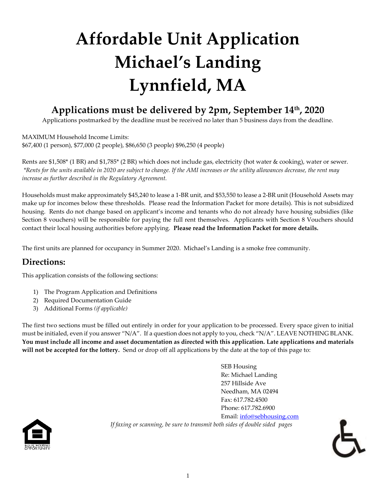## **Affordable Unit Application Michael's Landing Lynnfield, MA**

### **Applications must be delivered by 2pm, September 14th, 2020**

Applications postmarked by the deadline must be received no later than 5 business days from the deadline.

MAXIMUM Household Income Limits: \$67,400 (1 person), \$77,000 (2 people), \$86,650 (3 people) \$96,250 (4 people)

Rents are \$1,508\* (1 BR) and \$1,785\* (2 BR) which does not include gas, electricity (hot water & cooking), water or sewer. *\*Rents for the units available in 2020 are subject to change. If the AMI increases or the utility allowances decrease, the rent may increase as further described in the Regulatory Agreement.*

Households must make approximately \$45,240 to lease a 1-BR unit, and \$53,550 to lease a 2-BR unit (Household Assets may make up for incomes below these thresholds. Please read the Information Packet for more details). This is not subsidized housing. Rents do not change based on applicant's income and tenants who do not already have housing subsidies (like Section 8 vouchers) will be responsible for paying the full rent themselves. Applicants with Section 8 Vouchers should contact their local housing authorities before applying. **Please read the Information Packet for more details.**

The first units are planned for occupancy in Summer 2020. Michael's Landing is a smoke free community.

#### **Directions:**

This application consists of the following sections:

- 1) The Program Application and Definitions
- 2) Required Documentation Guide
- 3) Additional Forms *(if applicable)*

The first two sections must be filled out entirely in order for your application to be processed. Every space given to initial must be initialed, even if you answer "N/A". If a question does not apply to you, check "N/A". LEAVE NOTHING BLANK. **You must include all income and asset documentation as directed with this application. Late applications and materials will not be accepted for the lottery.** Send or drop off all applications by the date at the top of this page to:

> SEB Housing Re: Michael Landing 257 Hillside Ave Needham, MA 02494 Fax: 617.782.4500 Phone: 617.782.6900 Email: [info@sebhousing.com](mailto:info@sebhousing.com) *If faxing or scanning, be sure to transmit both sides of double sided pages*



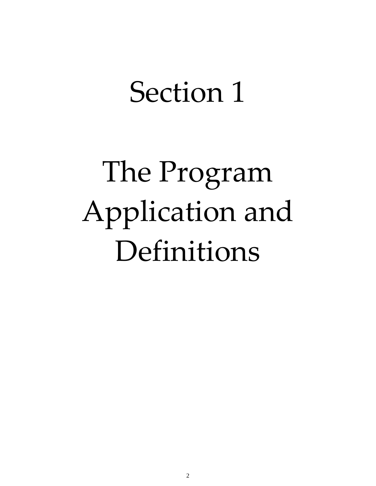## Section 1

# The Program Application and Definitions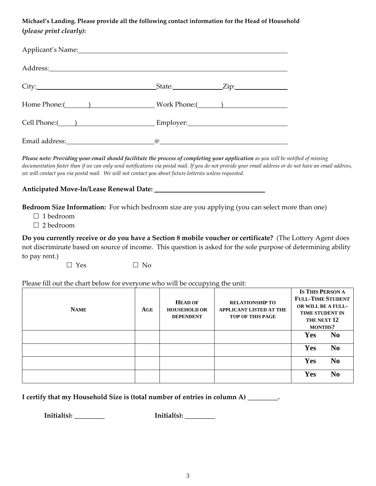**Michael's Landing. Please provide all the following contact information for the Head of Household (***please print clearly)***:**

| Applicant's Name: Names and the set of the set of the set of the set of the set of the set of the set of the set of the set of the set of the set of the set of the set of the set of the set of the set of the set of the set |             |                 |
|--------------------------------------------------------------------------------------------------------------------------------------------------------------------------------------------------------------------------------|-------------|-----------------|
|                                                                                                                                                                                                                                |             |                 |
|                                                                                                                                                                                                                                |             | $State:$ $Zip:$ |
|                                                                                                                                                                                                                                |             |                 |
| Cell Phone:( <u>University of Phone</u> Employer: Employer: Employer:                                                                                                                                                          |             |                 |
|                                                                                                                                                                                                                                | $\boxed{a}$ |                 |

*Please note: Providing your email should facilitate the process of completing your application as you will be notified of missing documentation faster than if we can only send notifications via postal mail. If you do not provide your email address or do not have an email address, we will contact you via postal mail. We will not contact you about future lotteries unless requested.* 

#### **Anticipated Move-In/Lease Renewal Date:**

**Bedroom Size Information:** For which bedroom size are you applying (you can select more than one)

□ 1 bedroom

□ 2 bedroom

**Do you currently receive or do you have a Section 8 mobile voucher or certificate?** (The Lottery Agent does not discriminate based on source of income. This question is asked for the sole purpose of determining ability to pay rent.)

 $\Box$  Yes  $\Box$  No

Please fill out the chart below for everyone who will be occupying the unit:

| <b>NAME</b> | AGE | <b>HEAD OF</b><br><b>HOUSEHOLD OR</b><br><b>DEPENDENT</b> | <b>RELATIONSHIP TO</b><br><b>APPLICANT LISTED AT THE</b><br><b>TOP OF THIS PAGE</b> | <b>IS THIS PERSON A</b><br><b>FULL-TIME STUDENT</b><br>OR WILL BE A FULL-<br><b>TIME STUDENT IN</b><br>THE NEXT 12<br><b>MONTHS?</b> |                |
|-------------|-----|-----------------------------------------------------------|-------------------------------------------------------------------------------------|--------------------------------------------------------------------------------------------------------------------------------------|----------------|
|             |     |                                                           |                                                                                     | Yes                                                                                                                                  | N <sub>0</sub> |
|             |     |                                                           |                                                                                     | Yes                                                                                                                                  | N <sub>0</sub> |
|             |     |                                                           |                                                                                     | Yes                                                                                                                                  | N <sub>0</sub> |
|             |     |                                                           |                                                                                     | Yes                                                                                                                                  | N <sub>0</sub> |

**I certify that my Household Size is (total number of entries in column A) \_\_\_\_\_\_\_\_\_.**

**Initial(s): Initial(s): Initial(s):**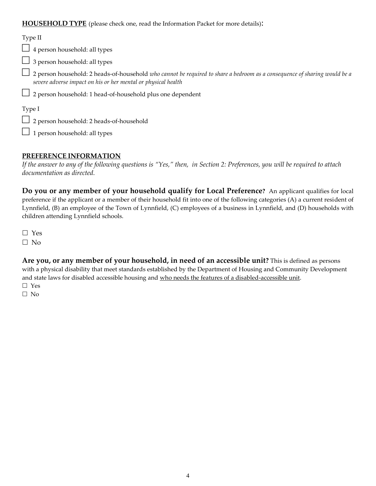#### **HOUSEHOLD TYPE** (please check one, read the Information Packet for more details):

#### Type II

 $\Box$  4 person household: all types

 $\Box$  3 person household: all types

□ 2 person household: 2 heads-of-household *who cannot be required to share a bedroom as a consequence of sharing would be a severe adverse impact on his or her mental or physical health*

 $\Box$  2 person household: 1 head-of-household plus one dependent

Type I

□ 2 person household: 2 heads-of-household

 $\Box$  1 person household: all types

#### **PREFERENCE INFORMATION**

*If the answer to any of the following questions is "Yes," then, in Section 2: Preferences, you will be required to attach documentation as directed.*

**Do you or any member of your household qualify for Local Preference?** An applicant qualifies for local preference if the applicant or a member of their household fit into one of the following categories (A) a current resident of Lynnfield, (B) an employee of the Town of Lynnfield, (C) employees of a business in Lynnfield, and (D) households with children attending Lynnfield schools.

□ Yes  $\Box$  No

**Are you, or any member of your household, in need of an accessible unit?** This is defined as persons with a physical disability that meet standards established by the Department of Housing and Community Development and state laws for disabled accessible housing and who needs the features of a disabled-accessible unit. Yes

□ No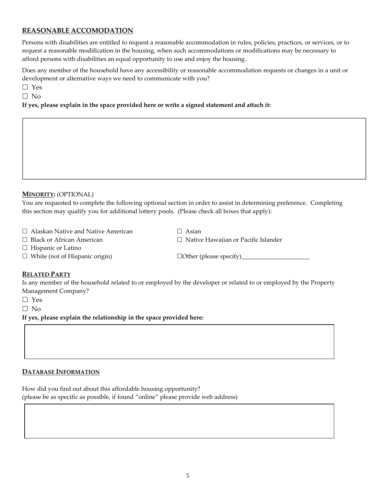#### **REASONABLE ACCOMODATION**

Persons with disabilities are entitled to request a reasonable accommodation in rules, policies, practices, or services, or to request a reasonable modification in the housing, when such accommodations or modifications may be necessary to afford persons with disabilities an equal opportunity to use and enjoy the housing.

Does any member of the household have any accessibility or reasonable accommodation requests or changes in a unit or development or alternative ways we need to communicate with you?

□ Yes

 $\square$  No

**If yes, please explain in the space provided here or write a signed statement and attach it:**

#### **MINORITY:** (OPTIONAL)

You are requested to complete the following optional section in order to assist in determining preference. Completing this section may qualify you for additional lottery pools. (Please check all boxes that apply):

- $\Box$  Alaskan Native and Native American  $\Box$  Asian
- 
- 
- $\Box$  Black or African American  $\Box$  Native Hawaiian or Pacific Islander
- $\Box$  Hispanic or Latino
- $\Box$  White (not of Hispanic origin)  $\Box$  Other (please specify)

#### **RELATED PARTY**

Is any member of the household related to or employed by the developer or related to or employed by the Property Management Company?

□ Yes

 $\Box$  No

**If yes, please explain the relationship in the space provided here:**

#### **DATABASE INFORMATION**

How did you find out about this affordable housing opportunity? (please be as specific as possible, if found "online" please provide web address)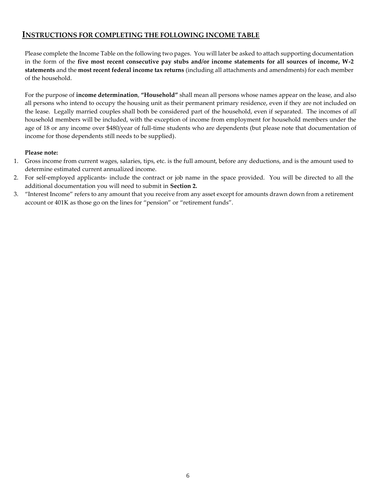#### **INSTRUCTIONS FOR COMPLETING THE FOLLOWING INCOME TABLE**

Please complete the Income Table on the following two pages. You will later be asked to attach supporting documentation in the form of the **five most recent consecutive pay stubs and/or income statements for all sources of income, W-2 statements** and the **most recent federal income tax returns** (including all attachments and amendments) for each member of the household.

For the purpose of **income determination**, **"Household"** shall mean all persons whose names appear on the lease, and also all persons who intend to occupy the housing unit as their permanent primary residence, even if they are not included on the lease. Legally married couples shall both be considered part of the household, even if separated. The incomes of *all* household members will be included, with the exception of income from employment for household members under the age of 18 or any income over \$480/year of full-time students who are dependents (but please note that documentation of income for those dependents still needs to be supplied).

#### **Please note:**

- 1. Gross income from current wages, salaries, tips, etc. is the full amount, before any deductions, and is the amount used to determine estimated current annualized income.
- 2. For self-employed applicants- include the contract or job name in the space provided. You will be directed to all the additional documentation you will need to submit in **Section 2.**
- 3. "Interest Income" refers to any amount that you receive from any asset except for amounts drawn down from a retirement account or 401K as those go on the lines for "pension" or "retirement funds".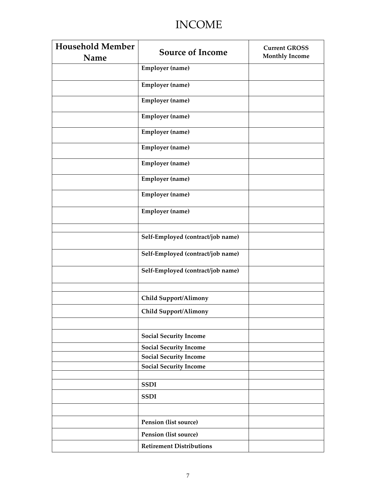### INCOME

| <b>Household Member</b><br>Name | <b>Source of Income</b>           | <b>Current GROSS</b><br><b>Monthly Income</b> |
|---------------------------------|-----------------------------------|-----------------------------------------------|
|                                 | <b>Employer</b> (name)            |                                               |
|                                 | <b>Employer</b> (name)            |                                               |
|                                 | <b>Employer</b> (name)            |                                               |
|                                 | <b>Employer</b> (name)            |                                               |
|                                 | <b>Employer</b> (name)            |                                               |
|                                 | <b>Employer</b> (name)            |                                               |
|                                 | <b>Employer</b> (name)            |                                               |
|                                 | <b>Employer</b> (name)            |                                               |
|                                 | <b>Employer</b> (name)            |                                               |
|                                 | <b>Employer</b> (name)            |                                               |
|                                 |                                   |                                               |
|                                 | Self-Employed (contract/job name) |                                               |
|                                 | Self-Employed (contract/job name) |                                               |
|                                 | Self-Employed (contract/job name) |                                               |
|                                 |                                   |                                               |
|                                 | <b>Child Support/Alimony</b>      |                                               |
|                                 | <b>Child Support/Alimony</b>      |                                               |
|                                 |                                   |                                               |
|                                 | <b>Social Security Income</b>     |                                               |
|                                 | <b>Social Security Income</b>     |                                               |
|                                 | <b>Social Security Income</b>     |                                               |
|                                 | <b>Social Security Income</b>     |                                               |
|                                 |                                   |                                               |
|                                 | <b>SSDI</b>                       |                                               |
|                                 | <b>SSDI</b>                       |                                               |
|                                 |                                   |                                               |
|                                 | Pension (list source)             |                                               |
|                                 | <b>Pension (list source)</b>      |                                               |
|                                 | <b>Retirement Distributions</b>   |                                               |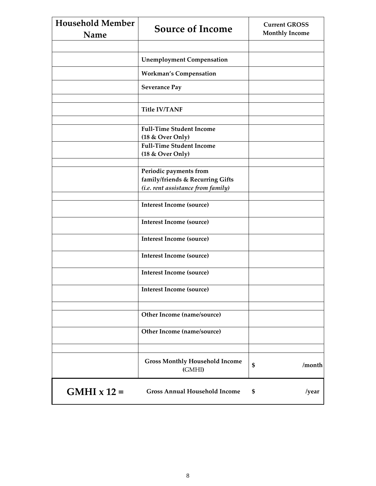| <b>Household Member</b><br>Name | <b>Source of Income</b>                                    | <b>Current GROSS</b><br><b>Monthly Income</b> |
|---------------------------------|------------------------------------------------------------|-----------------------------------------------|
|                                 |                                                            |                                               |
|                                 | <b>Unemployment Compensation</b>                           |                                               |
|                                 | <b>Workman's Compensation</b>                              |                                               |
|                                 | <b>Severance Pay</b>                                       |                                               |
|                                 | <b>Title IV/TANF</b>                                       |                                               |
|                                 |                                                            |                                               |
|                                 | <b>Full-Time Student Income</b><br>(18 & Over Only)        |                                               |
|                                 | <b>Full-Time Student Income</b><br>(18 & Over Only)        |                                               |
|                                 |                                                            |                                               |
|                                 | Periodic payments from<br>family/friends & Recurring Gifts |                                               |
|                                 | (i.e. rent assistance from family)                         |                                               |
|                                 | <b>Interest Income (source)</b>                            |                                               |
|                                 | <b>Interest Income (source)</b>                            |                                               |
|                                 | <b>Interest Income (source)</b>                            |                                               |
|                                 | <b>Interest Income (source)</b>                            |                                               |
|                                 | <b>Interest Income (source)</b>                            |                                               |
|                                 | <b>Interest Income (source)</b>                            |                                               |
|                                 |                                                            |                                               |
|                                 | Other Income (name/source)                                 |                                               |
|                                 | Other Income (name/source)                                 |                                               |
|                                 |                                                            |                                               |
|                                 | <b>Gross Monthly Household Income</b><br>(GMHI)            | \$<br>/month                                  |
| $GMHI \times 12 =$              | <b>Gross Annual Household Income</b>                       | \$<br>/year                                   |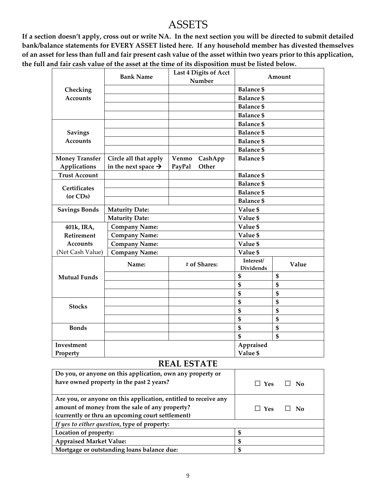### ASSETS

**If a section doesn't apply, cross out or write NA. In the next section you will be directed to submit detailed bank/balance statements for EVERY ASSET listed here. If any household member has divested themselves of an asset for less than full and fair present cash value of the asset within two years prior to this application, the full and fair cash value of the asset at the time of its disposition must be listed below.**

|                       | <b>Bank Name</b>                |        | Last 4 Digits of Acct<br>Number |                               | Amount |
|-----------------------|---------------------------------|--------|---------------------------------|-------------------------------|--------|
| Checking              |                                 |        |                                 | <b>Balance \$</b>             |        |
| <b>Accounts</b>       |                                 |        |                                 | <b>Balance \$</b>             |        |
|                       |                                 |        |                                 | <b>Balance \$</b>             |        |
|                       |                                 |        |                                 | <b>Balance \$</b>             |        |
|                       |                                 |        |                                 | <b>Balance \$</b>             |        |
| <b>Savings</b>        |                                 |        |                                 | <b>Balance \$</b>             |        |
| <b>Accounts</b>       |                                 |        |                                 | <b>Balance \$</b>             |        |
|                       |                                 |        |                                 | <b>Balance \$</b>             |        |
| <b>Money Transfer</b> | Circle all that apply           | Venmo  | CashApp                         | <b>Balance \$</b>             |        |
| Applications          | in the next space $\rightarrow$ | PayPal | Other                           |                               |        |
| <b>Trust Account</b>  |                                 |        |                                 | <b>Balance \$</b>             |        |
| Certificates          |                                 |        |                                 | <b>Balance \$</b>             |        |
| (or CDs)              |                                 |        |                                 | <b>Balance \$</b>             |        |
|                       |                                 |        |                                 | <b>Balance \$</b>             |        |
| <b>Savings Bonds</b>  | <b>Maturity Date:</b>           |        |                                 | Value \$                      |        |
|                       | <b>Maturity Date:</b>           |        |                                 | Value \$                      |        |
| 401k, IRA,            | <b>Company Name:</b>            |        |                                 | Value \$                      |        |
| Retirement            | <b>Company Name:</b>            |        |                                 | Value \$                      |        |
| <b>Accounts</b>       | <b>Company Name:</b>            |        |                                 | Value \$                      |        |
| (Net Cash Value)      | <b>Company Name:</b>            |        |                                 | Value \$                      |        |
|                       | Name:                           |        | # of Shares:                    | Interest/<br><b>Dividends</b> | Value  |
| <b>Mutual Funds</b>   |                                 |        |                                 | \$                            | \$     |
|                       |                                 |        |                                 | \$                            | \$     |
|                       |                                 |        |                                 | \$                            | \$     |
| <b>Stocks</b>         |                                 |        |                                 | \$                            | \$     |
|                       |                                 |        |                                 | \$                            | \$     |
|                       |                                 |        |                                 | $\mathbf S$                   | \$     |
| <b>Bonds</b>          |                                 |        |                                 | $\mathbf{\$}$                 | \$     |
|                       |                                 |        |                                 | \$                            | \$     |
| Investment            |                                 |        |                                 | Appraised                     |        |
| Property              |                                 |        |                                 | Value \$                      |        |

#### **REAL ESTATE**

| Do you, or anyone on this application, own any property or      |    |            |     |
|-----------------------------------------------------------------|----|------------|-----|
| have owned property in the past 2 years?                        |    | $\Box$ Yes | No. |
| Are you, or anyone on this application, entitled to receive any |    |            |     |
| amount of money from the sale of any property?                  |    | $\Box$ Yes | No. |
| (currently or thru an upcoming court settlement)                |    |            |     |
| If yes to either question, type of property:                    |    |            |     |
| Location of property:                                           | \$ |            |     |
| <b>Appraised Market Value:</b>                                  | \$ |            |     |
| Mortgage or outstanding loans balance due:                      | S  |            |     |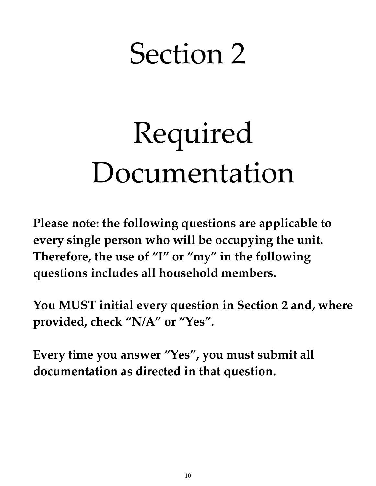## Section 2

# Required Documentation

**Please note: the following questions are applicable to every single person who will be occupying the unit. Therefore, the use of "I" or "my" in the following questions includes all household members.** 

**You MUST initial every question in Section 2 and, where provided, check "N/A" or "Yes".** 

**Every time you answer "Yes", you must submit all documentation as directed in that question.**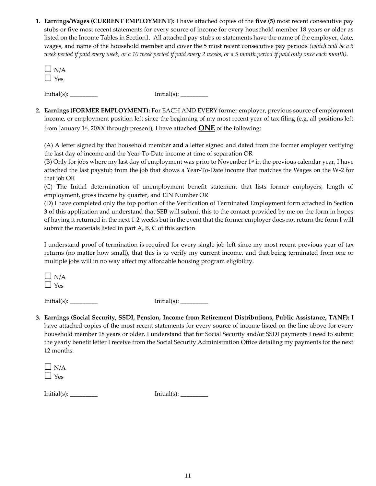**1. Earnings/Wages (CURRENT EMPLOYMENT):** I have attached copies of the **five (5)** most recent consecutive pay stubs or five most recent statements for every source of income for every household member 18 years or older as listed on the Income Tables in Section1. All attached pay-stubs or statements have the name of the employer, date, wages, and name of the household member and cover the 5 most recent consecutive pay periods *(which will be a 5 week period if paid every week, or a 10 week period if paid every 2 weeks, or a 5 month period if paid only once each month).* 

 $\Box$  N/A  $\Box$  Yes

 $Initial(s):$   $Initial(s):$ 

**2. Earnings (FORMER EMPLOYMENT):** For EACH AND EVERY former employer, previous source of employment income, or employment position left since the beginning of my most recent year of tax filing (e.g. all positions left from January 1st, 20XX through present), I have attached **ONE** of the following:

(A) A letter signed by that household member **and** a letter signed and dated from the former employer verifying the last day of income and the Year-To-Date income at time of separation OR

(B) Only for jobs where my last day of employment was prior to November  $1<sup>st</sup>$  in the previous calendar year, I have attached the last paystub from the job that shows a Year-To-Date income that matches the Wages on the W-2 for that job OR

(C) The Initial determination of unemployment benefit statement that lists former employers, length of employment, gross income by quarter, and EIN Number OR

(D) I have completed only the top portion of the Verification of Terminated Employment form attached in Section 3 of this application and understand that SEB will submit this to the contact provided by me on the form in hopes of having it returned in the next 1-2 weeks but in the event that the former employer does not return the form I will submit the materials listed in part A, B, C of this section

I understand proof of termination is required for every single job left since my most recent previous year of tax returns (no matter how small), that this is to verify my current income, and that being terminated from one or multiple jobs will in no way affect my affordable housing program eligibility.

 $\Box$  N/A  $\Box$  Yes

 $Initial(s):$   $[initial(s):$ 

**3. Earnings (Social Security, SSDI, Pension, Income from Retirement Distributions, Public Assistance, TANF):** I have attached copies of the most recent statements for every source of income listed on the line above for every household member 18 years or older. I understand that for Social Security and/or SSDI payments I need to submit the yearly benefit letter I receive from the Social Security Administration Office detailing my payments for the next 12 months.

| J.<br>' Д |
|-----------|
| ╰<br>۳    |

 $Initial(s):$   $[initial(s):$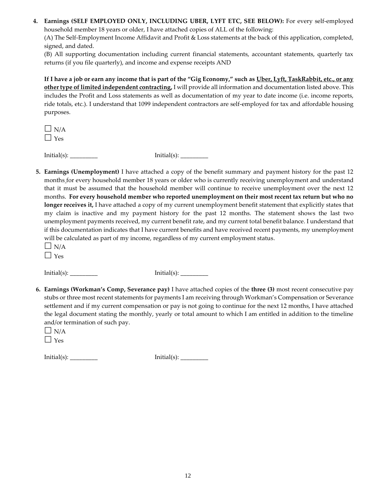**4. Earnings (SELF EMPLOYED ONLY, INCLUDING UBER, LYFT ETC, SEE BELOW):** For every self-employed household member 18 years or older, I have attached copies of ALL of the following:

(A) The Self-Employment Income Affidavit and Profit & Loss statements at the back of this application, completed, signed, and dated.

(B) All supporting documentation including current financial statements, accountant statements, quarterly tax returns (if you file quarterly), and income and expense receipts AND

**If I have a job or earn any income that is part of the "Gig Economy," such as Uber, Lyft, TaskRabbit, etc., or any other type of limited independent contracting,** I will provide all information and documentation listed above. This includes the Profit and Loss statements as well as documentation of my year to date income (i.e. income reports, ride totals, etc.). I understand that 1099 independent contractors are self-employed for tax and affordable housing purposes.

 $\Box$  N/A  $\Box$  Yes

 $Initial(s):$   $Initial(s):$ 

**5. Earnings (Unemployment)** I have attached a copy of the benefit summary and payment history for the past 12 months for every household member 18 years or older who is currently receiving unemployment and understand that it must be assumed that the household member will continue to receive unemployment over the next 12 months. **For every household member who reported unemployment on their most recent tax return but who no longer receives it,** I have attached a copy of my current unemployment benefit statement that explicitly states that my claim is inactive and my payment history for the past 12 months. The statement shows the last two unemployment payments received, my current benefit rate, and my current total benefit balance. I understand that if this documentation indicates that I have current benefits and have received recent payments, my unemployment will be calculated as part of my income, regardless of my current employment status.

 $\Box$  N/A  $\Box$  Yes

Initial(s): \_\_\_\_\_\_\_\_\_ Initial(s): \_\_\_\_\_\_\_\_\_

**6. Earnings (Workman's Comp, Severance pay)** I have attached copies of the **three (3)** most recent consecutive pay stubs or three most recent statements for payments I am receiving through Workman's Compensation or Severance settlement and if my current compensation or pay is not going to continue for the next 12 months, I have attached the legal document stating the monthly, yearly or total amount to which I am entitled in addition to the timeline and/or termination of such pay.

 $Initial(s):$   $Initial(s):$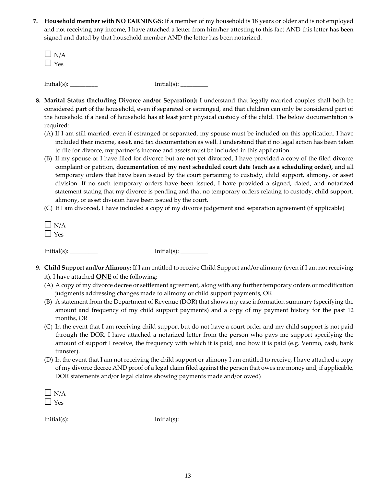**7. Household member with NO EARNINGS**: If a member of my household is 18 years or older and is not employed and not receiving any income, I have attached a letter from him/her attesting to this fact AND this letter has been signed and dated by that household member AND the letter has been notarized.

| $\Box$ N/A<br>$\Box$ Yes |                    |
|--------------------------|--------------------|
| Initial(s): $\_\_$       | Initial(s): $\_\_$ |

- **8. Marital Status (Including Divorce and/or Separation):** I understand that legally married couples shall both be considered part of the household, even if separated or estranged, and that children can only be considered part of the household if a head of household has at least joint physical custody of the child. The below documentation is required:
	- (A) If I am still married, even if estranged or separated, my spouse must be included on this application. I have included their income, asset, and tax documentation as well. I understand that if no legal action has been taken to file for divorce, my partner's income and assets must be included in this application
	- (B) If my spouse or I have filed for divorce but are not yet divorced, I have provided a copy of the filed divorce complaint or petition, **documentation of my next scheduled court date (such as a scheduling order),** and all temporary orders that have been issued by the court pertaining to custody, child support, alimony, or asset division. If no such temporary orders have been issued, I have provided a signed, dated, and notarized statement stating that my divorce is pending and that no temporary orders relating to custody, child support, alimony, or asset division have been issued by the court.
	- (C) If I am divorced, I have included a copy of my divorce judgement and separation agreement (if applicable)

| N.<br>д |
|---------|
| ч<br>ρ  |

 $Initial(s):$   $Initial(s):$ 

- **9. Child Support and/or Alimony:** If I am entitled to receive Child Support and/or alimony (even if I am not receiving it), I have attached **ONE** of the following:
	- (A) A copy of my divorce decree or settlement agreement, along with any further temporary orders or modification judgments addressing changes made to alimony or child support payments, OR
	- (B) A statement from the Department of Revenue (DOR) that shows my case information summary (specifying the amount and frequency of my child support payments) and a copy of my payment history for the past 12 months, OR
	- (C) In the event that I am receiving child support but do not have a court order and my child support is not paid through the DOR, I have attached a notarized letter from the person who pays me support specifying the amount of support I receive, the frequency with which it is paid, and how it is paid (e.g. Venmo, cash, bank transfer).
	- (D) In the event that I am not receiving the child support or alimony I am entitled to receive, I have attached a copy of my divorce decree AND proof of a legal claim filed against the person that owes me money and, if applicable, DOR statements and/or legal claims showing payments made and/or owed)

| $\Box$ N/A |  |  |  |
|------------|--|--|--|
| $\Box$ Yes |  |  |  |
|            |  |  |  |

 $Initial(s):$   $Initial(s):$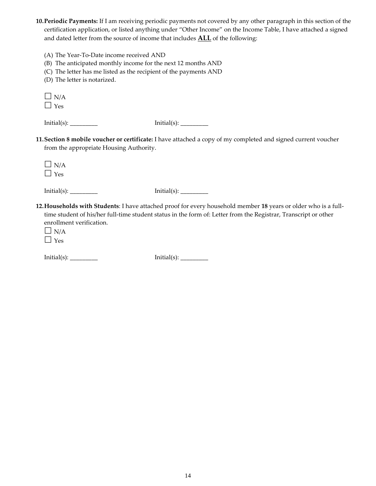**10.Periodic Payments:** If I am receiving periodic payments not covered by any other paragraph in this section of the certification application, or listed anything under "Other Income" on the Income Table, I have attached a signed and dated letter from the source of income that includes **ALL** of the following:

- (A) The Year-To-Date income received AND
- (B) The anticipated monthly income for the next 12 months AND
- (C) The letter has me listed as the recipient of the payments AND
- (D) The letter is notarized.

| T      |
|--------|
| ⊐<br>∽ |

| $Initial(s)$ : |  |
|----------------|--|
|----------------|--|

Initial(s): \_\_\_\_\_\_\_\_\_ Initial(s): \_\_\_\_\_\_\_\_\_

- **11.Section 8 mobile voucher or certificate:** I have attached a copy of my completed and signed current voucher from the appropriate Housing Authority.
	- $\Box$  N/A  $\Box$  Yes

Initial(s): \_\_\_\_\_\_\_\_\_ Initial(s): \_\_\_\_\_\_\_\_\_

- **12.Households with Students**: I have attached proof for every household member **18** years or older who is a fulltime student of his/her full-time student status in the form of: Letter from the Registrar, Transcript or other enrollment verification.
	- $\Box$  N/A  $\Box$  Yes

Initial(s): \_\_\_\_\_\_\_\_\_ Initial(s): \_\_\_\_\_\_\_\_\_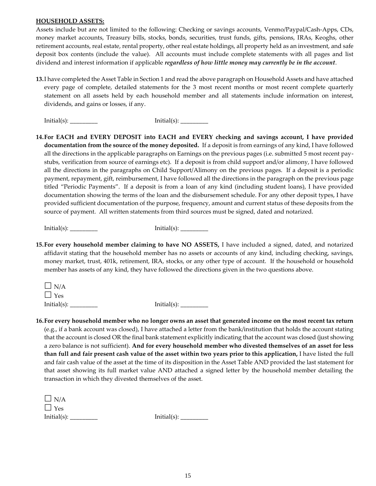#### **HOUSEHOLD ASSETS:**

Assets include but are not limited to the following: Checking or savings accounts, Venmo/Paypal/Cash-Apps, CDs, money market accounts, Treasury bills, stocks, bonds, securities, trust funds, gifts, pensions, IRAs, Keoghs, other retirement accounts, real estate, rental property, other real estate holdings, all property held as an investment, and safe deposit box contents (include the value). All accounts must include complete statements with all pages and list dividend and interest information if applicable *regardless of how little money may currently be in the account*.

**13.**I have completed the Asset Table in Section 1 and read the above paragraph on Household Assets and have attached every page of complete, detailed statements for the 3 most recent months or most recent complete quarterly statement on all assets held by each household member and all statements include information on interest, dividends, and gains or losses, if any.

 $Initial(s):$   $Initial(s):$ 

**14.For EACH and EVERY DEPOSIT into EACH and EVERY checking and savings account, I have provided documentation from the source of the money deposited.** If a deposit is from earnings of any kind, I have followed all the directions in the applicable paragraphs on Earnings on the previous pages (i.e. submitted 5 most recent paystubs, verification from source of earnings etc). If a deposit is from child support and/or alimony, I have followed all the directions in the paragraphs on Child Support/Alimony on the previous pages. If a deposit is a periodic payment, repayment, gift, reimbursement, I have followed all the directions in the paragraph on the previous page titled "Periodic Payments". If a deposit is from a loan of any kind (including student loans), I have provided documentation showing the terms of the loan and the disbursement schedule. For any other deposit types, I have provided sufficient documentation of the purpose, frequency, amount and current status of these deposits from the source of payment. All written statements from third sources must be signed, dated and notarized.

 $Initial(s):$   $Initial(s):$ 

**15.For every household member claiming to have NO ASSETS,** I have included a signed, dated, and notarized affidavit stating that the household member has no assets or accounts of any kind, including checking, savings, money market, trust, 401k, retirement, IRA, stocks, or any other type of account. If the household or household member has assets of any kind, they have followed the directions given in the two questions above.

 $\Box$  N/A Yes Initial(s): \_\_\_\_\_\_\_\_\_ Initial(s): \_\_\_\_\_\_\_\_\_

**16.For every household member who no longer owns an asset that generated income on the most recent tax return** (e.g., if a bank account was closed), I have attached a letter from the bank/institution that holds the account stating that the account is closed OR the final bank statement explicitly indicating that the account was closed (just showing a zero balance is not sufficient). **And for every household member who divested themselves of an asset for less than full and fair present cash value of the asset within two years prior to this application,** I have listed the full and fair cash value of the asset at the time of its disposition in the Asset Table AND provided the last statement for that asset showing its full market value AND attached a signed letter by the household member detailing the transaction in which they divested themselves of the asset.

| $\Box$ N/A      |             |
|-----------------|-------------|
| $\Box$ Yes      |             |
| Initial $(s)$ : | Initial(s): |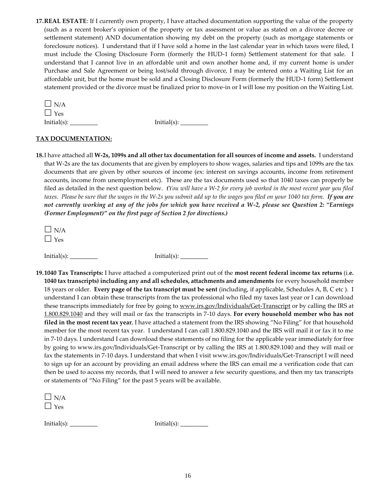**17.REAL ESTATE**: If I currently own property, I have attached documentation supporting the value of the property (such as a recent broker's opinion of the property or tax assessment or value as stated on a divorce decree or settlement statement) AND documentation showing my debt on the property (such as mortgage statements or foreclosure notices). I understand that if I have sold a home in the last calendar year in which taxes were filed, I must include the Closing Disclosure Form (formerly the HUD-1 form) Settlement statement for that sale. I understand that I cannot live in an affordable unit and own another home and, if my current home is under Purchase and Sale Agreement or being lost/sold through divorce, I may be entered onto a Waiting List for an affordable unit, but the home must be sold and a Closing Disclosure Form (formerly the HUD-1 form) Settlement statement provided or the divorce must be finalized prior to move-in or I will lose my position on the Waiting List.

| $\Box$ N/A     |  |
|----------------|--|
| $\Box$ Yes     |  |
| $Initial(s)$ : |  |

Initial(s): \_\_\_\_\_\_\_\_\_ Initial(s): \_\_\_\_\_\_\_\_\_

#### **TAX DOCUMENTATION:**

**18.**I have attached all **W-2s, 1099s and all other tax documentation for all sources of income and assets.** I understand that W-2s are the tax documents that are given by employers to show wages, salaries and tips and 1099s are the tax documents that are given by other sources of income (ex: interest on savings accounts, income from retirement accounts, income from unemployment etc). These are the tax documents used so that 1040 taxes can properly be filed as detailed in the next question below.*(You will have a W-2 for every job worked in the most recent year you filed taxes. Please be sure that the wages in the W-2s you submit add up to the wages you filed on your 1040 tax form. If you are not currently working at any of the jobs for which you have received a W-2, please see Question 2: "Earnings (Former Employment)" on the first page of Section 2 for directions.)*

 $\Box$  N/A Yes

 $Initial(s):$   $[initial(s):$ 

**19.1040 Tax Transcripts:** I have attached a computerized print out of the **most recent federal income tax returns** (i.**e. 1040 tax transcripts) including any and all schedules, attachments and amendments** for every household member 18 years or older. **Every page of the tax transcript must be sent** (including, if applicable, Schedules A, B, C etc ). I understand I can obtain these transcripts from the tax professional who filed my taxes last year or I can download these transcripts immediately for free by going to [www.irs.gov/Individuals/Get-Transcript](http://www.irs.gov/Individuals/Get-Transcript) or by calling the IRS at [1.800.829.1040](tel:1.800.829.1040) and they will mail or fax the transcripts in 7-10 days. **For every household member who has not filed in the most recent tax year**, I have attached a statement from the IRS showing "No Filing" for that household member for the most recent tax year. I understand I can call 1.800.829.1040 and the IRS will mail it or fax it to me in 7-10 days. I understand I can download these statements of no filing for the applicable year immediately for free by going to www.irs.gov/Individuals/Get-Transcript or by calling the IRS at 1.800.829.1040 and they will mail or fax the statements in 7-10 days. I understand that when I visit www.irs.gov/Individuals/Get-Transcript I will need to sign up for an account by providing an email address where the IRS can email me a verification code that can then be used to access my records, that I will need to answer a few security questions, and then my tax transcripts or statements of "No Filing" for the past 5 years will be available.

| \J / A |  |
|--------|--|
| PS     |  |

 $Initial(s):$   $Initial(s):$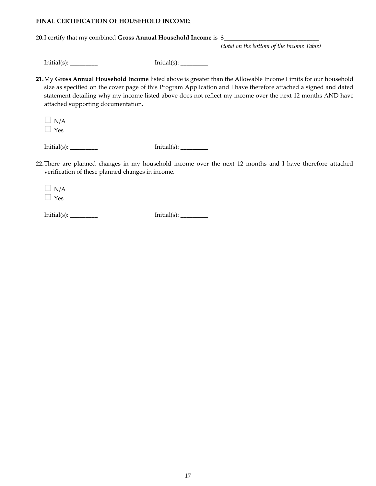#### **FINAL CERTIFICATION OF HOUSEHOLD INCOME:**

**20.**I certify that my combined **Gross Annual Household Income** is \$\_\_\_\_\_\_\_\_\_\_\_\_\_\_\_\_\_\_\_\_\_\_\_\_\_\_\_\_\_\_\_

*(total on the bottom of the Income Table)*

 $Initial(s):$   $[initial(s):$ 

**21.**My **Gross Annual Household Income** listed above is greater than the Allowable Income Limits for our household size as specified on the cover page of this Program Application and I have therefore attached a signed and dated statement detailing why my income listed above does not reflect my income over the next 12 months AND have attached supporting documentation.

 $\Box$  N/A  $\Box$  Yes

 $Initial(s):$   $Initial(s):$ 

**22.**There are planned changes in my household income over the next 12 months and I have therefore attached verification of these planned changes in income.

 $\Box$  N/A  $\Box$  Yes

 $Initial(s):$   $Initial(s):$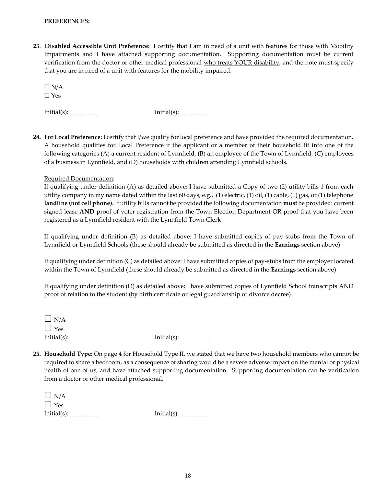#### **PREFERENCES:**

**23**. **Disabled Accessible Unit Preference:** I certify that I am in need of a unit with features for those with Mobility Impairments and I have attached supporting documentation. Supporting documentation must be current verification from the doctor or other medical professional who treats YOUR disability, and the note must specify that you are in need of a unit with features for the mobility impaired.

 $\Box$  N/A Yes

 $Initial(s):$   $Initial(s):$ 

**24. For Local Preference:** I certify that I/we qualify for local preference and have provided the required documentation. A household qualifies for Local Preference if the applicant or a member of their household fit into one of the following categories (A) a current resident of Lynnfield, (B) an employee of the Town of Lynnfield, (C) employees of a business in Lynnfield, and (D) households with children attending Lynnfield schools.

#### Required Documentation:

If qualifying under definition (A) as detailed above: I have submitted a Copy of two (2) utility bills 1 from each utility company in my name dated within the last 60 days, e.g., (1) electric, (1) oil, (1) cable, (1) gas, or (1) telephone **landline (not cell phone).** If utility bills cannot be provided the following documentation **must** be provided: current signed lease **AND** proof of voter registration from the Town Election Department OR proof that you have been registered as a Lynnfield resident with the Lynnfield Town Clerk

If qualifying under definition (B) as detailed above: I have submitted copies of pay-stubs from the Town of Lynnfield or Lynnfield Schools (these should already be submitted as directed in the **Earnings** section above)

If qualifying under definition (C) as detailed above: I have submitted copies of pay-stubs from the employer located within the Town of Lynnfield (these should already be submitted as directed in the **Earnings** section above)

If qualifying under definition (D) as detailed above: I have submitted copies of Lynnfield School transcripts AND proof of relation to the student (by birth certificate or legal guardianship or divorce decree)

| $\Box$ N/A  |                 |
|-------------|-----------------|
| $\Box$ Yes  |                 |
| Initial(s): | Initial $(s)$ : |

**25. Household Type:** On page 4 for Household Type II, we stated that we have two household members who cannot be required to share a bedroom, as a consequence of sharing would be a severe adverse impact on the mental or physical health of one of us, and have attached supporting documentation. Supporting documentation can be verification from a doctor or other medical professional.

| $\Box$ N/A      |             |
|-----------------|-------------|
| $\Box$ Yes      |             |
| Initial $(s)$ : | Initial(s): |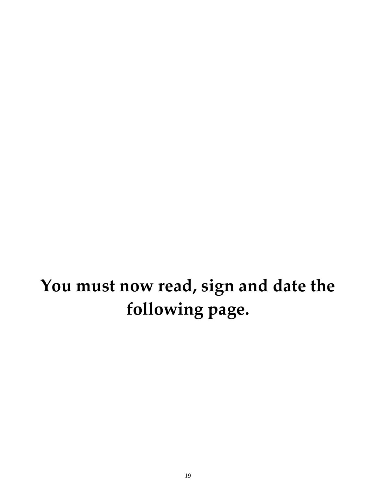## **You must now read, sign and date the following page.**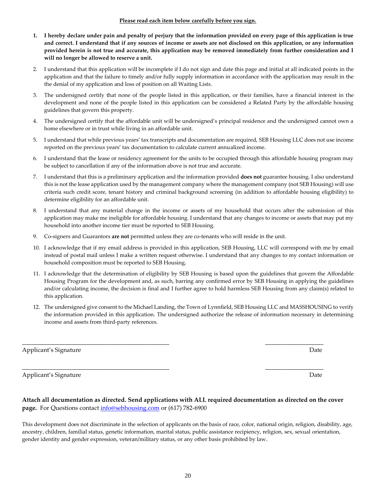#### **Please read each item below carefully before you sign.**

- **1. I hereby declare under pain and penalty of perjury that the information provided on every page of this application is true and correct. I understand that if any sources of income or assets are not disclosed on this application, or any information provided herein is not true and accurate, this application may be removed immediately from further consideration and I will no longer be allowed to reserve a unit.**
- 2. I understand that this application will be incomplete if I do not sign and date this page and initial at all indicated points in the application and that the failure to timely and/or fully supply information in accordance with the application may result in the the denial of my application and loss of position on all Waiting Lists.
- 3. The undersigned certify that none of the people listed in this application, or their families, have a financial interest in the development and none of the people listed in this application can be considered a Related Party by the affordable housing guidelines that govern this property.
- 4. The undersigned certify that the affordable unit will be undersigned's principal residence and the undersigned cannot own a home elsewhere or in trust while living in an affordable unit.
- 5. I understand that while previous years' tax transcripts and documentation are required, SEB Housing LLC does not use income reported on the previous years' tax documentation to calculate current annualized income.
- 6. I understand that the lease or residency agreement for the units to be occupied through this affordable housing program may be subject to cancellation if any of the information above is not true and accurate.
- 7. I understand that this is a preliminary application and the information provided **does not** guarantee housing. I also understand this is not the lease application used by the management company where the management company (not SEB Housing) will use criteria such credit score, tenant history and criminal background screening (in addition to affordable housing eligibility) to determine eligibility for an affordable unit.
- 8. I understand that any material change in the income or assets of my household that occurs after the submission of this application may make me ineligible for affordable housing. I understand that any changes to income or assets that may put my household into another income tier must be reported to SEB Housing.
- 9. Co-signers and Guarantors **are not** permitted unless they are co-tenants who will reside in the unit.
- 10. I acknowledge that if my email address is provided in this application, SEB Housing, LLC will correspond with me by email instead of postal mail unless I make a written request otherwise. I understand that any changes to my contact information or household composition must be reported to SEB Housing.
- 11. I acknowledge that the determination of eligibility by SEB Housing is based upon the guidelines that govern the Affordable Housing Program for the development and, as such, barring any confirmed error by SEB Housing in applying the guidelines and/or calculating income, the decision is final and I further agree to hold harmless SEB Housing from any claim(s) related to this application.
- 12. The undersigned give consent to the Michael Landing, the Town of Lynnfield, SEB Housing LLC and MASSHOUSING to verify the information provided in this application. The undersigned authorize the release of information necessary in determining income and assets from third-party references.

Applicant's Signature Date Date of the Date of the Date Date of the Date Date of the Date of the Date of the D

Applicant's Signature Date Date of the Date of the Date Date of the Date Date of the Date of the Date of the Date of the Date of the Date of the Date of the Date of the Date of the Date of the Date of the Date of the Date

#### **Attach all documentation as directed. Send applications with ALL required documentation as directed on the cover page.** For Questions contact [info@sebhousing.com](mailto:info@sebhousing.com) or (617) 782-6900

\_\_\_\_\_\_\_\_\_\_\_\_\_\_\_\_\_\_\_\_\_\_\_\_\_\_\_\_\_\_\_\_\_\_\_\_\_\_\_\_\_\_\_\_\_\_\_\_ \_\_\_\_\_\_\_\_\_\_\_\_\_\_\_\_\_\_\_

\_\_\_\_\_\_\_\_\_\_\_\_\_\_\_\_\_\_\_\_\_\_\_\_\_\_\_\_\_\_\_\_\_\_\_\_\_\_\_\_\_\_\_\_\_\_\_\_ \_\_\_\_\_\_\_\_\_\_\_\_\_\_\_\_\_\_\_

This development does not discriminate in the selection of applicants on the basis of race, color, national origin, religion, disability, age, ancestry, children, familial status, genetic information, marital status, public assistance recipiency, religion, sex, sexual orientation, gender identity and gender expression, veteran/military status, or any other basis prohibited by law.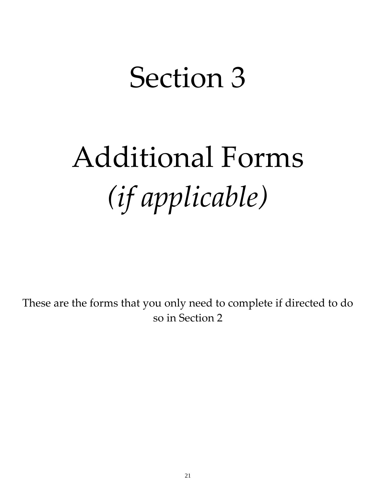## Section 3

# Additional Forms *(if applicable)*

These are the forms that you only need to complete if directed to do so in Section 2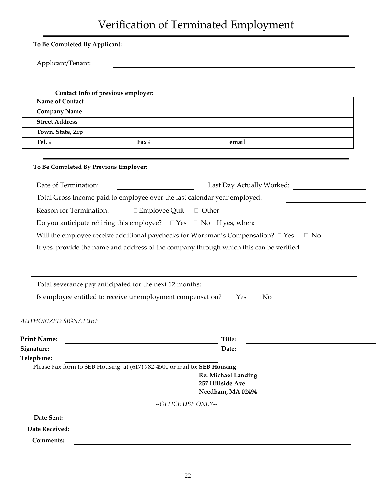### Verification of Terminated Employment

| To Be Completed By Applicant:         |                                                                                         |                                       |                           |
|---------------------------------------|-----------------------------------------------------------------------------------------|---------------------------------------|---------------------------|
| Applicant/Tenant:                     |                                                                                         |                                       |                           |
|                                       |                                                                                         |                                       |                           |
|                                       | Contact Info of previous employer:                                                      |                                       |                           |
| Name of Contact                       |                                                                                         |                                       |                           |
| <b>Company Name</b>                   |                                                                                         |                                       |                           |
| <b>Street Address</b>                 |                                                                                         |                                       |                           |
| Town, State, Zip                      |                                                                                         |                                       |                           |
| Tel. #                                | Fax $\sharp$                                                                            | email                                 |                           |
| To Be Completed By Previous Employer: |                                                                                         |                                       |                           |
| Date of Termination:                  |                                                                                         |                                       | Last Day Actually Worked: |
|                                       | Total Gross Income paid to employee over the last calendar year employed:               |                                       |                           |
| Reason for Termination:               | $\Box$ Employee Quit $\Box$ Other                                                       |                                       |                           |
|                                       | Do you anticipate rehiring this employee? $\square$ Yes $\square$ No If yes, when:      |                                       |                           |
|                                       | Will the employee receive additional paychecks for Workman's Compensation? $\Box$ Yes   |                                       | $\Box$ No                 |
|                                       | If yes, provide the name and address of the company through which this can be verified: |                                       |                           |
|                                       | Total severance pay anticipated for the next 12 months:                                 |                                       |                           |
|                                       | Is employee entitled to receive unemployment compensation? $\Box$ Yes                   |                                       | $\Box$ No                 |
| <b>AUTHORIZED SIGNATURE</b>           |                                                                                         |                                       |                           |
| <b>Print Name:</b>                    |                                                                                         | Title:                                |                           |
| Signature:                            | <u> 1989 - Johann Barn, amerikansk politiker (* 1908)</u>                               | Date:                                 |                           |
| Telephone:                            |                                                                                         |                                       |                           |
|                                       | Please Fax form to SEB Housing at (617) 782-4500 or mail to: SEB Housing                |                                       |                           |
|                                       |                                                                                         | <b>Re: Michael Landing</b>            |                           |
|                                       |                                                                                         | 257 Hillside Ave<br>Needham, MA 02494 |                           |
|                                       |                                                                                         | --OFFICE USE ONLY--                   |                           |
| Date Sent:                            |                                                                                         |                                       |                           |
| Date Received:                        |                                                                                         |                                       |                           |
| <b>Comments:</b>                      |                                                                                         |                                       |                           |
|                                       |                                                                                         |                                       |                           |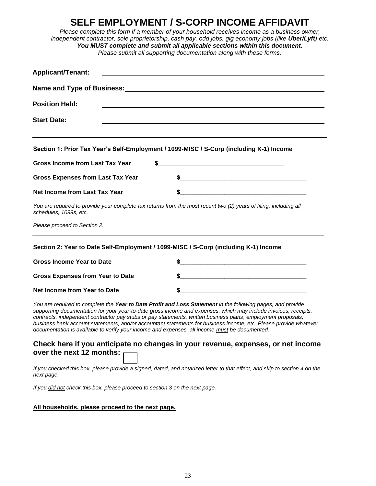### **SELF EMPLOYMENT / S-CORP INCOME AFFIDAVIT**

*Please complete this form if a member of your household receives income as a business owner, independent contractor, sole proprietorship, cash pay, odd jobs, gig economy jobs (like Uber/Lyft) etc. You MUST complete and submit all applicable sections within this document. Please submit all supporting documentation along with these forms.*

| <b>Applicant/Tenant:</b>                                                                                                                                                                                                                                                                                                                                                                                                                        |                                                                                                                            |
|-------------------------------------------------------------------------------------------------------------------------------------------------------------------------------------------------------------------------------------------------------------------------------------------------------------------------------------------------------------------------------------------------------------------------------------------------|----------------------------------------------------------------------------------------------------------------------------|
|                                                                                                                                                                                                                                                                                                                                                                                                                                                 |                                                                                                                            |
| <b>Position Held:</b>                                                                                                                                                                                                                                                                                                                                                                                                                           | and the control of the control of the control of the control of the control of the control of the control of the           |
| <b>Start Date:</b>                                                                                                                                                                                                                                                                                                                                                                                                                              |                                                                                                                            |
| Section 1: Prior Tax Year's Self-Employment / 1099-MISC / S-Corp (including K-1) Income                                                                                                                                                                                                                                                                                                                                                         |                                                                                                                            |
| <b>Gross Income from Last Tax Year</b><br>\$                                                                                                                                                                                                                                                                                                                                                                                                    |                                                                                                                            |
| <b>Gross Expenses from Last Tax Year</b>                                                                                                                                                                                                                                                                                                                                                                                                        |                                                                                                                            |
| <b>Net Income from Last Tax Year</b>                                                                                                                                                                                                                                                                                                                                                                                                            |                                                                                                                            |
| You are required to provide your complete tax returns from the most recent two (2) years of filing, including all<br>schedules, 1099s, etc.                                                                                                                                                                                                                                                                                                     |                                                                                                                            |
| Please proceed to Section 2.                                                                                                                                                                                                                                                                                                                                                                                                                    |                                                                                                                            |
| Section 2: Year to Date Self-Employment / 1099-MISC / S-Corp (including K-1) Income                                                                                                                                                                                                                                                                                                                                                             |                                                                                                                            |
| <b>Gross Income Year to Date</b>                                                                                                                                                                                                                                                                                                                                                                                                                | $\frac{1}{2}$                                                                                                              |
| <b>Gross Expenses from Year to Date</b>                                                                                                                                                                                                                                                                                                                                                                                                         | $\sim$                                                                                                                     |
| Net Income from Year to Date                                                                                                                                                                                                                                                                                                                                                                                                                    | \$                                                                                                                         |
| You are required to complete the Year to Date Profit and Loss Statement in the following pages, and provide<br>supporting documentation for your year-to-date gross income and expenses, which may include invoices, receipts,<br>contracts, independent contractor pay stubs or pay statements, written business plans, employment proposals,<br>documentation is available to verify your income and expenses, all income must be documented. | business bank account statements, and/or accountant statements for business income, etc. Please provide whatever           |
| over the next 12 months:                                                                                                                                                                                                                                                                                                                                                                                                                        | Check here if you anticipate no changes in your revenue, expenses, or net income                                           |
| next page.                                                                                                                                                                                                                                                                                                                                                                                                                                      | If you checked this box, please provide a signed, dated, and notarized letter to that effect, and skip to section 4 on the |
|                                                                                                                                                                                                                                                                                                                                                                                                                                                 |                                                                                                                            |

#### **All households, please proceed to the next page.**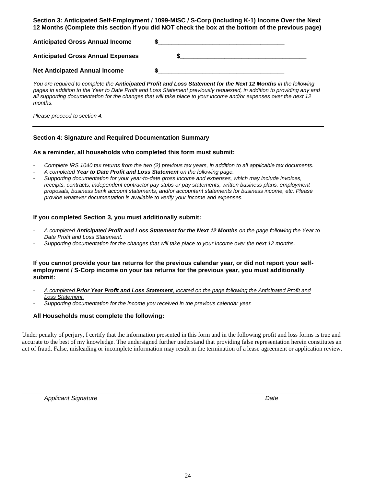**Section 3: Anticipated Self-Employment / 1099-MISC / S-Corp (including K-1) Income Over the Next 12 Months (Complete this section if you did NOT check the box at the bottom of the previous page)**

| <b>Anticipated Gross Annual Income</b>   |  |
|------------------------------------------|--|
| <b>Anticipated Gross Annual Expenses</b> |  |
| <b>Net Anticipated Annual Income</b>     |  |

*You are required to complete the Anticipated Profit and Loss Statement for the Next 12 Months in the following pages in addition to the Year to Date Profit and Loss Statement previously requested, in addition to providing any and all supporting documentation for the changes that will take place to your income and/or expenses over the next 12 months.* 

*Please proceed to section 4.* 

#### **Section 4: Signature and Required Documentation Summary**

#### **As a reminder, all households who completed this form must submit:**

- *Complete IRS 1040 tax returns from the two (2) previous tax years, in addition to all applicable tax documents.*
- *A completed Year to Date Profit and Loss Statement on the following page.*
- *Supporting documentation for your year-to-date gross income and expenses, which may include invoices, receipts, contracts, independent contractor pay stubs or pay statements, written business plans, employment proposals, business bank account statements, and/or accountant statements for business income, etc. Please provide whatever documentation is available to verify your income and expenses.*

#### **If you completed Section 3, you must additionally submit:**

- *A completed Anticipated Profit and Loss Statement for the Next 12 Months on the page following the Year to Date Profit and Loss Statement.*
- *Supporting documentation for the changes that will take place to your income over the next 12 months.*

#### **If you cannot provide your tax returns for the previous calendar year, or did not report your selfemployment / S-Corp income on your tax returns for the previous year, you must additionally submit:**

- *A completed Prior Year Profit and Loss Statement, located on the page following the Anticipated Profit and Loss Statement.*
- *Supporting documentation for the income you received in the previous calendar year.*

#### **All Households must complete the following:**

Under penalty of perjury, I certify that the information presented in this form and in the following profit and loss forms is true and accurate to the best of my knowledge. The undersigned further understand that providing false representation herein constitutes an act of fraud. False, misleading or incomplete information may result in the termination of a lease agreement or application review.

\_\_\_\_\_\_\_\_\_\_\_\_\_\_\_\_\_\_\_\_\_\_\_\_\_\_\_\_\_\_\_\_\_\_\_\_\_\_\_\_\_\_\_\_\_\_ \_\_\_\_\_\_\_\_\_\_\_\_\_\_\_\_\_\_\_\_\_\_\_\_\_\_

*Applicant Signature Date*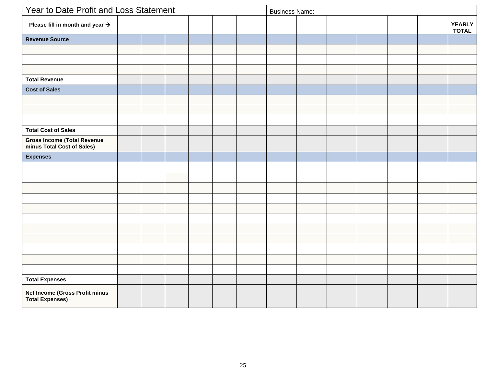|                                                                  | Year to Date Profit and Loss Statement |  |  |  | <b>Business Name:</b> |  |  |  |  |  |  |                        |
|------------------------------------------------------------------|----------------------------------------|--|--|--|-----------------------|--|--|--|--|--|--|------------------------|
| Please fill in month and year $\rightarrow$                      |                                        |  |  |  |                       |  |  |  |  |  |  | YEARLY<br><b>TOTAL</b> |
| <b>Revenue Source</b>                                            |                                        |  |  |  |                       |  |  |  |  |  |  |                        |
|                                                                  |                                        |  |  |  |                       |  |  |  |  |  |  |                        |
|                                                                  |                                        |  |  |  |                       |  |  |  |  |  |  |                        |
|                                                                  |                                        |  |  |  |                       |  |  |  |  |  |  |                        |
| <b>Total Revenue</b>                                             |                                        |  |  |  |                       |  |  |  |  |  |  |                        |
| <b>Cost of Sales</b>                                             |                                        |  |  |  |                       |  |  |  |  |  |  |                        |
|                                                                  |                                        |  |  |  |                       |  |  |  |  |  |  |                        |
|                                                                  |                                        |  |  |  |                       |  |  |  |  |  |  |                        |
|                                                                  |                                        |  |  |  |                       |  |  |  |  |  |  |                        |
| <b>Total Cost of Sales</b>                                       |                                        |  |  |  |                       |  |  |  |  |  |  |                        |
| <b>Gross Income (Total Revenue</b><br>minus Total Cost of Sales) |                                        |  |  |  |                       |  |  |  |  |  |  |                        |
| <b>Expenses</b>                                                  |                                        |  |  |  |                       |  |  |  |  |  |  |                        |
|                                                                  |                                        |  |  |  |                       |  |  |  |  |  |  |                        |
|                                                                  |                                        |  |  |  |                       |  |  |  |  |  |  |                        |
|                                                                  |                                        |  |  |  |                       |  |  |  |  |  |  |                        |
|                                                                  |                                        |  |  |  |                       |  |  |  |  |  |  |                        |
|                                                                  |                                        |  |  |  |                       |  |  |  |  |  |  |                        |
|                                                                  |                                        |  |  |  |                       |  |  |  |  |  |  |                        |
|                                                                  |                                        |  |  |  |                       |  |  |  |  |  |  |                        |
|                                                                  |                                        |  |  |  |                       |  |  |  |  |  |  |                        |
|                                                                  |                                        |  |  |  |                       |  |  |  |  |  |  |                        |
|                                                                  |                                        |  |  |  |                       |  |  |  |  |  |  |                        |
|                                                                  |                                        |  |  |  |                       |  |  |  |  |  |  |                        |
| <b>Total Expenses</b>                                            |                                        |  |  |  |                       |  |  |  |  |  |  |                        |
| <b>Net Income (Gross Profit minus</b><br><b>Total Expenses)</b>  |                                        |  |  |  |                       |  |  |  |  |  |  |                        |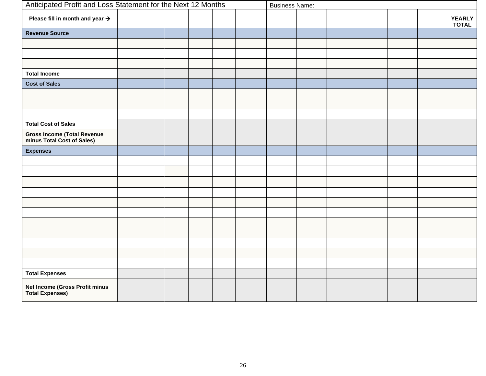|                                                               | Anticipated Profit and Loss Statement for the Next 12 Months |  |  |  | <b>Business Name:</b> |  |  |  |  |  |  |                               |
|---------------------------------------------------------------|--------------------------------------------------------------|--|--|--|-----------------------|--|--|--|--|--|--|-------------------------------|
| Please fill in month and year $\rightarrow$                   |                                                              |  |  |  |                       |  |  |  |  |  |  | <b>YEARLY</b><br><b>TOTAL</b> |
| <b>Revenue Source</b>                                         |                                                              |  |  |  |                       |  |  |  |  |  |  |                               |
|                                                               |                                                              |  |  |  |                       |  |  |  |  |  |  |                               |
|                                                               |                                                              |  |  |  |                       |  |  |  |  |  |  |                               |
|                                                               |                                                              |  |  |  |                       |  |  |  |  |  |  |                               |
| <b>Total Income</b>                                           |                                                              |  |  |  |                       |  |  |  |  |  |  |                               |
| <b>Cost of Sales</b>                                          |                                                              |  |  |  |                       |  |  |  |  |  |  |                               |
|                                                               |                                                              |  |  |  |                       |  |  |  |  |  |  |                               |
|                                                               |                                                              |  |  |  |                       |  |  |  |  |  |  |                               |
|                                                               |                                                              |  |  |  |                       |  |  |  |  |  |  |                               |
| <b>Total Cost of Sales</b>                                    |                                                              |  |  |  |                       |  |  |  |  |  |  |                               |
| <b>Gross Income (Total Revenue minus Total Cost of Sales)</b> |                                                              |  |  |  |                       |  |  |  |  |  |  |                               |
| <b>Expenses</b>                                               |                                                              |  |  |  |                       |  |  |  |  |  |  |                               |
|                                                               |                                                              |  |  |  |                       |  |  |  |  |  |  |                               |
|                                                               |                                                              |  |  |  |                       |  |  |  |  |  |  |                               |
|                                                               |                                                              |  |  |  |                       |  |  |  |  |  |  |                               |
|                                                               |                                                              |  |  |  |                       |  |  |  |  |  |  |                               |
|                                                               |                                                              |  |  |  |                       |  |  |  |  |  |  |                               |
|                                                               |                                                              |  |  |  |                       |  |  |  |  |  |  |                               |
|                                                               |                                                              |  |  |  |                       |  |  |  |  |  |  |                               |
|                                                               |                                                              |  |  |  |                       |  |  |  |  |  |  |                               |
|                                                               |                                                              |  |  |  |                       |  |  |  |  |  |  |                               |
|                                                               |                                                              |  |  |  |                       |  |  |  |  |  |  |                               |
|                                                               |                                                              |  |  |  |                       |  |  |  |  |  |  |                               |
| <b>Total Expenses</b>                                         |                                                              |  |  |  |                       |  |  |  |  |  |  |                               |
| Net Income (Gross Profit minus<br><b>Total Expenses)</b>      |                                                              |  |  |  |                       |  |  |  |  |  |  |                               |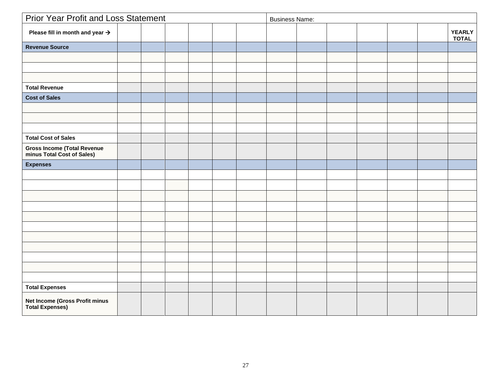| <b>Prior Year Profit and Loss Statement</b>                      |  |  | <b>Business Name:</b> |  |  |  |  |  |  |                               |
|------------------------------------------------------------------|--|--|-----------------------|--|--|--|--|--|--|-------------------------------|
| Please fill in month and year $\rightarrow$                      |  |  |                       |  |  |  |  |  |  | <b>YEARLY</b><br><b>TOTAL</b> |
| <b>Revenue Source</b>                                            |  |  |                       |  |  |  |  |  |  |                               |
|                                                                  |  |  |                       |  |  |  |  |  |  |                               |
|                                                                  |  |  |                       |  |  |  |  |  |  |                               |
|                                                                  |  |  |                       |  |  |  |  |  |  |                               |
| <b>Total Revenue</b>                                             |  |  |                       |  |  |  |  |  |  |                               |
| <b>Cost of Sales</b>                                             |  |  |                       |  |  |  |  |  |  |                               |
|                                                                  |  |  |                       |  |  |  |  |  |  |                               |
|                                                                  |  |  |                       |  |  |  |  |  |  |                               |
|                                                                  |  |  |                       |  |  |  |  |  |  |                               |
| <b>Total Cost of Sales</b>                                       |  |  |                       |  |  |  |  |  |  |                               |
| <b>Gross Income (Total Revenue</b><br>minus Total Cost of Sales) |  |  |                       |  |  |  |  |  |  |                               |
| <b>Expenses</b>                                                  |  |  |                       |  |  |  |  |  |  |                               |
|                                                                  |  |  |                       |  |  |  |  |  |  |                               |
|                                                                  |  |  |                       |  |  |  |  |  |  |                               |
|                                                                  |  |  |                       |  |  |  |  |  |  |                               |
|                                                                  |  |  |                       |  |  |  |  |  |  |                               |
|                                                                  |  |  |                       |  |  |  |  |  |  |                               |
|                                                                  |  |  |                       |  |  |  |  |  |  |                               |
|                                                                  |  |  |                       |  |  |  |  |  |  |                               |
|                                                                  |  |  |                       |  |  |  |  |  |  |                               |
|                                                                  |  |  |                       |  |  |  |  |  |  |                               |
|                                                                  |  |  |                       |  |  |  |  |  |  |                               |
|                                                                  |  |  |                       |  |  |  |  |  |  |                               |
| <b>Total Expenses</b>                                            |  |  |                       |  |  |  |  |  |  |                               |
| Net Income (Gross Profit minus<br><b>Total Expenses)</b>         |  |  |                       |  |  |  |  |  |  |                               |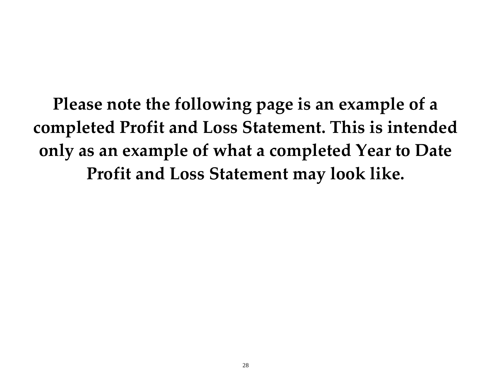**Please note the following page is an example of a completed Profit and Loss Statement. This is intended only as an example of what a completed Year to Date Profit and Loss Statement may look like.**